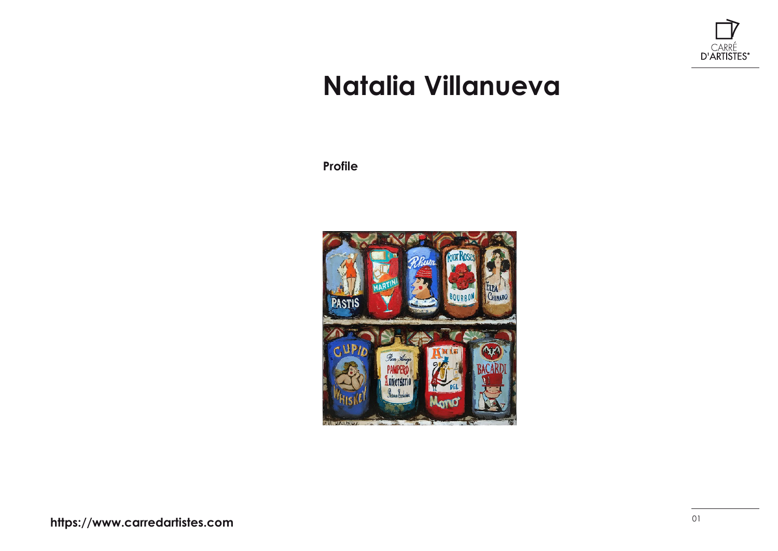

## **Natalia Villanueva**

**Profile**

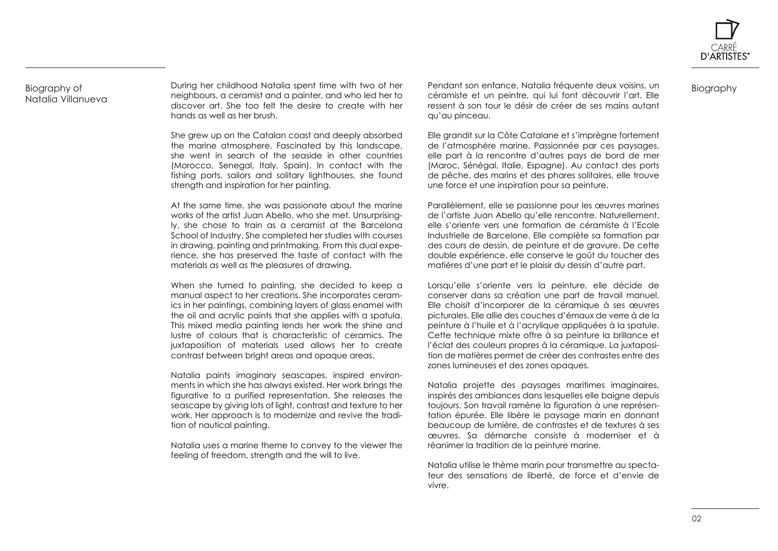

Biography

## Biography of Natalia Villanueva

During her childhood Natalia spent time with two of her neighbours, a ceramist and a painter, and who led her to discover art. She too felt the desire to create with her hands as well as her brush.

She grew up on the Catalan coast and deeply absorbed the marine atmosphere. Fascinated by this landscape, she went in search of the seaside in other countries (Morocco, Senegal, Italy, Spain). In contact with the fishing ports, sailors and solitary lighthouses, she found strength and inspiration for her painting.

At the same time, she was passionate about the marine works of the artist Juan Abello, who she met. Unsurprisingly, she chose to train as a ceramist at the Barcelona School of Industry. She completed her studies with courses in drawing, painting and printmaking. From this dual experience, she has preserved the taste of contact with the materials as well as the pleasures of drawing.

When she turned to painting, she decided to keep a manual aspect to her creations. She incorporates ceramics in her paintings, combining layers of glass enamel with the oil and acrylic paints that she applies with a spatula. This mixed media painting lends her work the shine and lustre of colours that is characteristic of ceramics. The juxtaposition of materials used allows her to create contrast between bright areas and opaque areas.

Natalia paints imaginary seascapes, inspired environments in which she has always existed. Her work brings the figurative to a purified representation. She releases the seascape by giving lots of light, contrast and texture to her work. Her approach is to modernize and revive the tradition of nautical painting.

Natalia uses a marine theme to convey to the viewer the feeling of freedom, strength and the will to live.

Pendant son enfance, Natalia fréquente deux voisins, un céramiste et un peintre, qui lui font découvrir l'art. Elle ressent à son tour le désir de créer de ses mains autant qu'au pinceau.

Elle grandit sur la Côte Catalane et s'imprègne fortement de l'atmosphère marine. Passionnée par ces paysages, elle part à la rencontre d'autres pays de bord de mer (Maroc, Sénégal, Italie, Espagne). Au contact des ports de pêche, des marins et des phares solitaires, elle trouve une force et une inspiration pour sa peinture.

Parallèlement, elle se passionne pour les œuvres marines de l'artiste Juan Abello qu'elle rencontre. Naturellement, elle s'oriente vers une formation de céramiste à l'Ecole Industrielle de Barcelone. Elle complète sa formation par des cours de dessin, de peinture et de gravure. De cette double expérience, elle conserve le goût du toucher des matières d'une part et le plaisir du dessin d'autre part.

Lorsqu'elle s'oriente vers la peinture, elle décide de conserver dans sa création une part de travail manuel. Elle choisit d'incorporer de la céramique à ses œuvres picturales. Elle allie des couches d'émaux de verre à de la peinture à l'huile et à l'acrylique appliquées à la spatule. Cette technique mixte offre à sa peinture la brillance et l'éclat des couleurs propres à la céramique. La juxtaposition de matières permet de créer des contrastes entre des zones lumineuses et des zones opaques.

Natalia projette des paysages maritimes imaginaires, inspirés des ambiances dans lesquelles elle baigne depuis toujours. Son travail ramène la figuration à une représentation épurée. Elle libère le paysage marin en donnant beaucoup de lumière, de contrastes et de textures à ses œuvres. Sa démarche consiste à moderniser et à réanimer la tradition de la peinture marine.

Natalia utilise le thème marin pour transmettre au spectateur des sensations de liberté, de force et d'envie de vivre.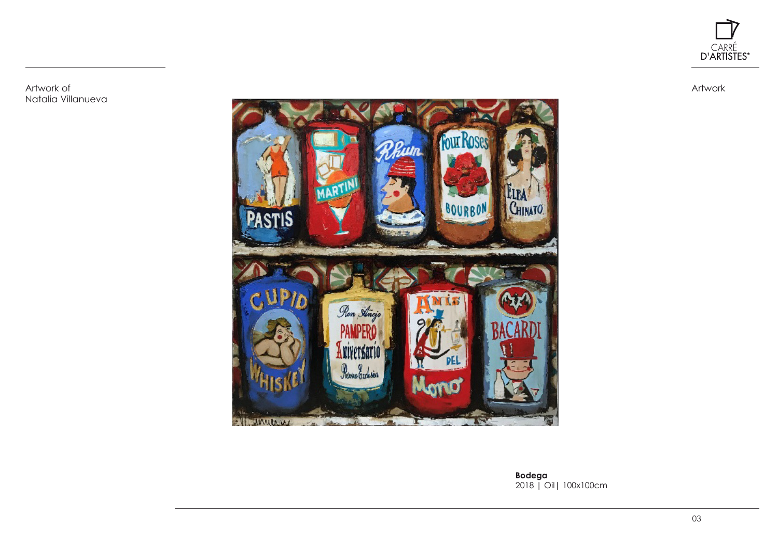

Artwork of Natalia Villanueva Artwork



**Bodega** 2018 | Oil| 100x100cm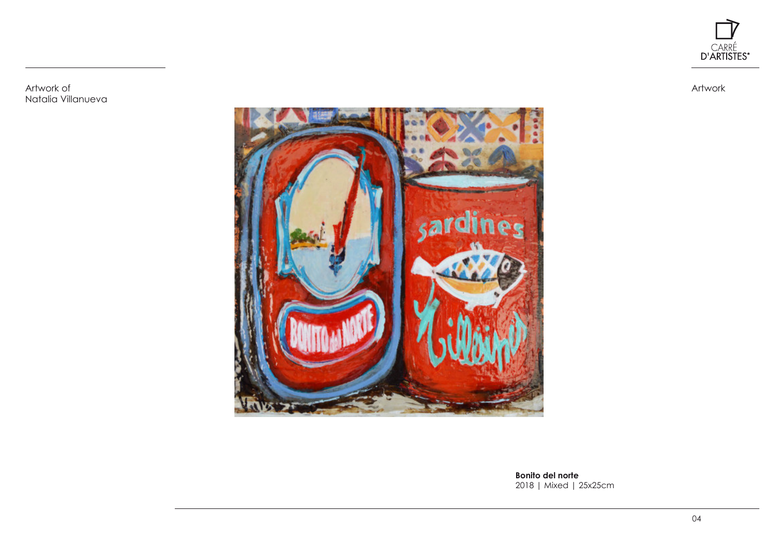

Artwork

Artwork of Natalia Villanueva



**Bonito del norte** 2018 | Mixed | 25x25cm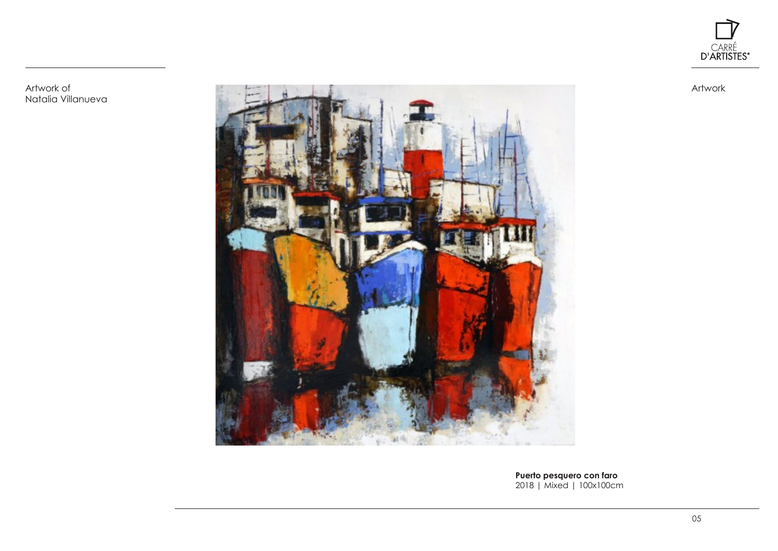

Artwork

Artwork of Natalia Villanueva



**Puerto pesquero con faro** 2018 | Mixed | 100x100cm